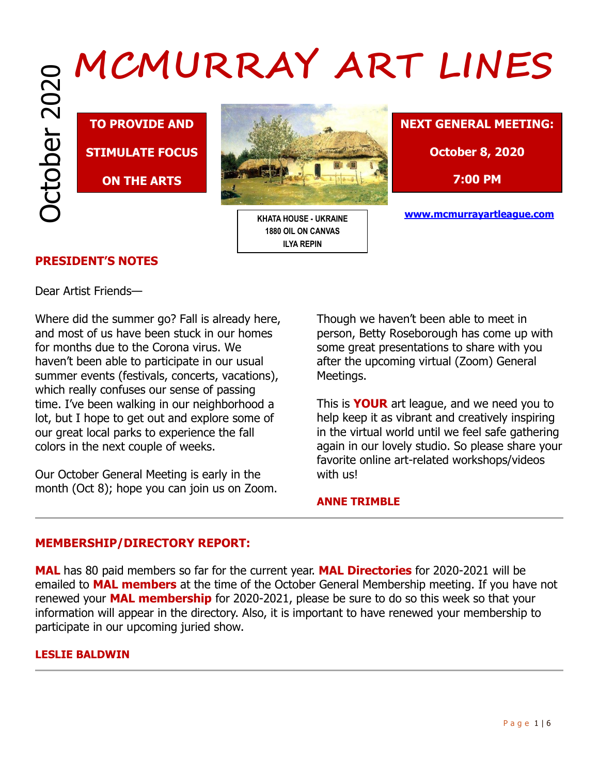**TO PROVIDE AND STIMULATE FOCUS** 

**ON THE ARTS**



**KHATA HOUSE - UKRAINE 1880 OIL ON CANVAS ILYA REPIN**



**7:00 PM**

**www.mcmurrayartleague.com**

# **PRESIDENT'S NOTES**

Dear Artist Friends—

Where did the summer go? Fall is already here, and most of us have been stuck in our homes for months due to the Corona virus. We haven't been able to participate in our usual summer events (festivals, concerts, vacations), which really confuses our sense of passing time. I've been walking in our neighborhood a lot, but I hope to get out and explore some of our great local parks to experience the fall colors in the next couple of weeks.

Our October General Meeting is early in the month (Oct 8); hope you can join us on Zoom. Though we haven't been able to meet in person, Betty Roseborough has come up with some great presentations to share with you after the upcoming virtual (Zoom) General Meetings.

This is **YOUR** art league, and we need you to help keep it as vibrant and creatively inspiring in the virtual world until we feel safe gathering again in our lovely studio. So please share your favorite online art-related workshops/videos with us!

## **ANNE TRIMBLE**

# **MEMBERSHIP/DIRECTORY REPORT:**

**MAL** has 80 paid members so far for the current year. **MAL Directories** for 2020-2021 will be emailed to **MAL members** at the time of the October General Membership meeting. If you have not renewed your **MAL membership** for 2020-2021, please be sure to do so this week so that your information will appear in the directory. Also, it is important to have renewed your membership to participate in our upcoming juried show.

## **LESLIE BALDWIN**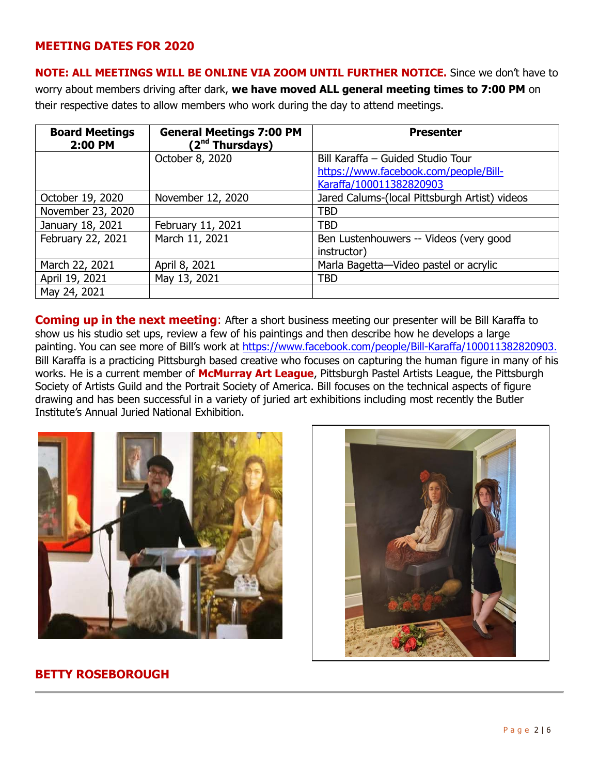## **MEETING DATES FOR 2020**

**NOTE: ALL MEETINGS WILL BE ONLINE VIA ZOOM UNTIL FURTHER NOTICE.** Since we don't have to worry about members driving after dark, **we have moved ALL general meeting times to 7:00 PM** on their respective dates to allow members who work during the day to attend meetings.

| <b>Board Meetings</b><br>2:00 PM | <b>General Meetings 7:00 PM</b><br>(2 <sup>nd</sup> Thursdays) | <b>Presenter</b>                                                           |
|----------------------------------|----------------------------------------------------------------|----------------------------------------------------------------------------|
|                                  | October 8, 2020                                                | Bill Karaffa - Guided Studio Tour<br>https://www.facebook.com/people/Bill- |
|                                  |                                                                | Karaffa/100011382820903                                                    |
| October 19, 2020                 | November 12, 2020                                              | Jared Calums-(local Pittsburgh Artist) videos                              |
| November 23, 2020                |                                                                | <b>TBD</b>                                                                 |
| January 18, 2021                 | February 11, 2021                                              | <b>TBD</b>                                                                 |
| February 22, 2021                | March 11, 2021                                                 | Ben Lustenhouwers -- Videos (very good<br>instructor)                      |
| March 22, 2021                   | April 8, 2021                                                  | Marla Bagetta-Video pastel or acrylic                                      |
| April 19, 2021                   | May 13, 2021                                                   | <b>TBD</b>                                                                 |
| May 24, 2021                     |                                                                |                                                                            |

**Coming up in the next meeting:** After a short business meeting our presenter will be Bill Karaffa to show us his studio set ups, review a few of his paintings and then describe how he develops a large painting. You can see more of Bill's work at <https://www.facebook.com/people/Bill-Karaffa/100011382820903.> Bill Karaffa is a practicing Pittsburgh based creative who focuses on capturing the human figure in many of his works. He is a current member of **McMurray Art League**, Pittsburgh Pastel Artists League, the Pittsburgh Society of Artists Guild and the Portrait Society of America. Bill focuses on the technical aspects of figure drawing and has been successful in a variety of juried art exhibitions including most recently the Butler Institute's Annual Juried National Exhibition.





## **BETTY ROSEBOROUGH**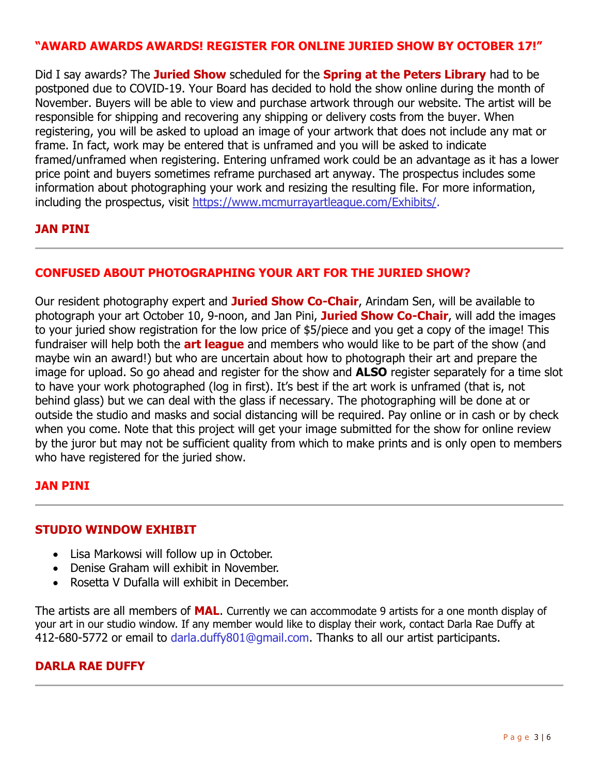## **"AWARD AWARDS AWARDS! REGISTER FOR ONLINE JURIED SHOW BY OCTOBER 17!"**

Did I say awards? The **Juried Show** scheduled for the **Spring at the Peters Library** had to be postponed due to COVID-19. Your Board has decided to hold the show online during the month of November. Buyers will be able to view and purchase artwork through our website. The artist will be responsible for shipping and recovering any shipping or delivery costs from the buyer. When registering, you will be asked to upload an image of your artwork that does not include any mat or frame. In fact, work may be entered that is unframed and you will be asked to indicate framed/unframed when registering. Entering unframed work could be an advantage as it has a lower price point and buyers sometimes reframe purchased art anyway. The prospectus includes some information about photographing your work and resizing the resulting file. For more information, including the prospectus, visit [https://www.mcmurrayartleague.com/Exhibits/.](https://www.mcmurrayartleague.com/Exhibits/)

## **JAN PINI**

## **CONFUSED ABOUT PHOTOGRAPHING YOUR ART FOR THE JURIED SHOW?**

Our resident photography expert and **Juried Show Co-Chair**, Arindam Sen, will be available to photograph your art October 10, 9-noon, and Jan Pini, **Juried Show Co-Chair**, will add the images to your juried show registration for the low price of \$5/piece and you get a copy of the image! This fundraiser will help both the **art league** and members who would like to be part of the show (and maybe win an award!) but who are uncertain about how to photograph their art and prepare the image for upload. So go ahead and register for the show and **ALSO** register separately for a time slot to have your work photographed (log in first). It's best if the art work is unframed (that is, not behind glass) but we can deal with the glass if necessary. The photographing will be done at or outside the studio and masks and social distancing will be required. Pay online or in cash or by check when you come. Note that this project will get your image submitted for the show for online review by the juror but may not be sufficient quality from which to make prints and is only open to members who have registered for the juried show.

## **JAN PINI**

#### **STUDIO WINDOW EXHIBIT**

- Lisa Markowsi will follow up in October.
- Denise Graham will exhibit in November.
- Rosetta V Dufalla will exhibit in December.

The artists are all members of **MAL**. Currently we can accommodate 9 artists for a one month display of your art in our studio window. If any member would like to display their work, contact Darla Rae Duffy at 412-680-5772 or email to [darla.duffy801@gmail.com.](mailto:darla.duffy801@gmail.com) Thanks to all our artist participants.

## **DARLA RAE DUFFY**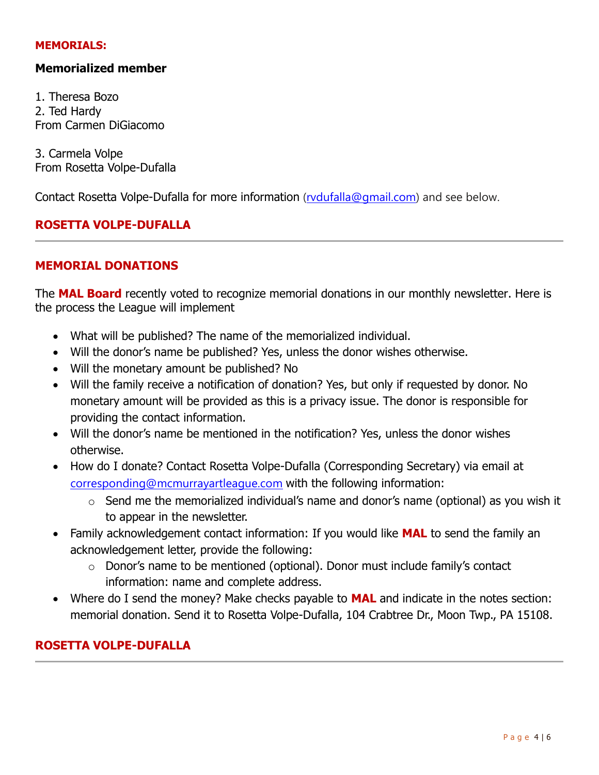#### **MEMORIALS:**

## **Memorialized member**

1. Theresa Bozo 2. Ted Hardy From Carmen DiGiacomo

3. Carmela Volpe From Rosetta Volpe-Dufalla

Contact Rosetta Volpe-Dufalla for more information [\(rvdufalla@gmail.com\)](mailto:rvdufalla@gmail.com) and see below.

## **ROSETTA VOLPE-DUFALLA**

#### **MEMORIAL DONATIONS**

The **MAL Board** recently voted to recognize memorial donations in our monthly newsletter. Here is the process the League will implement

- What will be published? The name of the memorialized individual.
- Will the donor's name be published? Yes, unless the donor wishes otherwise.
- Will the monetary amount be published? No
- Will the family receive a notification of donation? Yes, but only if requested by donor. No monetary amount will be provided as this is a privacy issue. The donor is responsible for providing the contact information.
- Will the donor's name be mentioned in the notification? Yes, unless the donor wishes otherwise.
- How do I donate? Contact Rosetta Volpe-Dufalla (Corresponding Secretary) via email at [corresponding@mcmurrayartleague.com](mailto:corresponding@mcmurrayartleague.com) with the following information:
	- $\circ$  Send me the memorialized individual's name and donor's name (optional) as you wish it to appear in the newsletter.
- Family acknowledgement contact information: If you would like **MAL** to send the family an acknowledgement letter, provide the following:
	- o Donor's name to be mentioned (optional). Donor must include family's contact information: name and complete address.
- Where do I send the money? Make checks payable to **MAL** and indicate in the notes section: memorial donation. Send it to Rosetta Volpe-Dufalla, 104 Crabtree Dr., Moon Twp., PA 15108.

## **ROSETTA VOLPE-DUFALLA**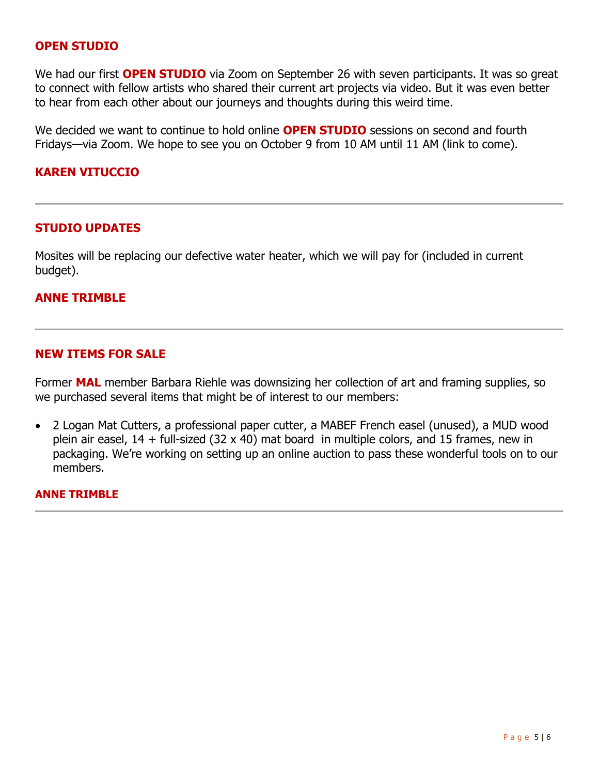#### **OPEN STUDIO**

We had our first **OPEN STUDIO** via Zoom on September 26 with seven participants. It was so great to connect with fellow artists who shared their current art projects via video. But it was even better to hear from each other about our journeys and thoughts during this weird time.

We decided we want to continue to hold online **OPEN STUDIO** sessions on second and fourth Fridays—via Zoom. We hope to see you on October 9 from 10 AM until 11 AM (link to come).

#### **KAREN VITUCCIO**

#### **STUDIO UPDATES**

Mosites will be replacing our defective water heater, which we will pay for (included in current budget).

#### **ANNE TRIMBLE**

#### **NEW ITEMS FOR SALE**

Former **MAL** member Barbara Riehle was downsizing her collection of art and framing supplies, so we purchased several items that might be of interest to our members:

 2 Logan Mat Cutters, a professional paper cutter, a MABEF French easel (unused), a MUD wood plein air easel,  $14 +$  full-sized (32 x 40) mat board in multiple colors, and 15 frames, new in packaging. We're working on setting up an online auction to pass these wonderful tools on to our members.

#### **ANNE TRIMBLE**